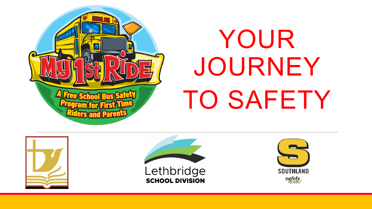

# YOUR JOURNEY TO SAFETY



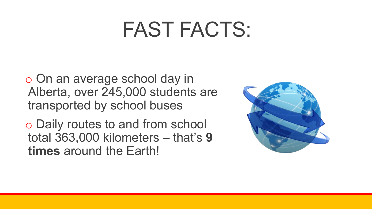### FAST FACTS:

o On an average school day in Alberta, over 245,000 students are transported by school buses

o Daily routes to and from school total 363,000 kilometers – that's **9 times** around the Earth!

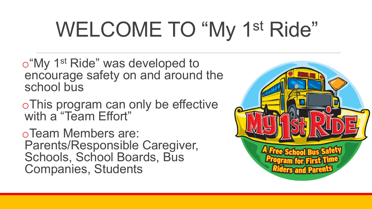## WELCOME TO "My 1<sup>st</sup> Ride"

o"My 1st Ride" was developed to encourage safety on and around the school bus

oThis program can only be effective with a "Team Effort"

oTeam Members are: Parents/Responsible Caregiver, Schools, School Boards, Bus Companies, Students

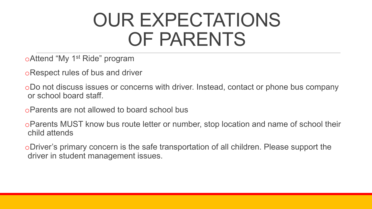#### OUR EXPECTATIONS OF PARENTS

oAttend "My 1st Ride" program

oRespect rules of bus and driver

oDo not discuss issues or concerns with driver. Instead, contact or phone bus company or school board staff.

oParents are not allowed to board school bus

oParents MUST know bus route letter or number, stop location and name of school their child attends

oDriver's primary concern is the safe transportation of all children. Please support the driver in student management issues.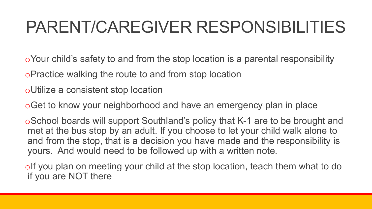#### PARENT/CAREGIVER RESPONSIBILITIES

oYour child's safety to and from the stop location is a parental responsibility

oPractice walking the route to and from stop location

oUtilize a consistent stop location

oGet to know your neighborhood and have an emergency plan in place

oSchool boards will support Southland's policy that K-1 are to be brought and met at the bus stop by an adult. If you choose to let your child walk alone to and from the stop, that is a decision you have made and the responsibility is yours. And would need to be followed up with a written note.

oIf you plan on meeting your child at the stop location, teach them what to do if you are NOT there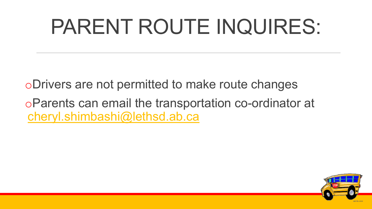### PARENT ROUTE INQUIRES:

oDrivers are not permitted to make route changes

oParents can email the transportation co-ordinator at [cheryl.shimbashi@lethsd.ab.ca](mailto:cheryl.shimbashi@lethsd.ab.ca)

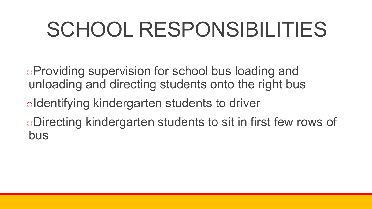### SCHOOL RESPONSIBILITIES

- oProviding supervision for school bus loading and unloading and directing students onto the right bus
- oIdentifying kindergarten students to driver
- oDirecting kindergarten students to sit in first few rows of bus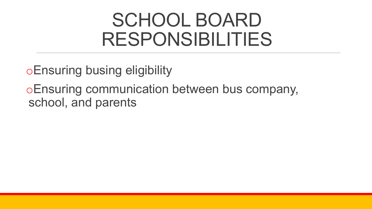#### SCHOOL BOARD RESPONSIBILITIES

oEnsuring busing eligibility

oEnsuring communication between bus company, school, and parents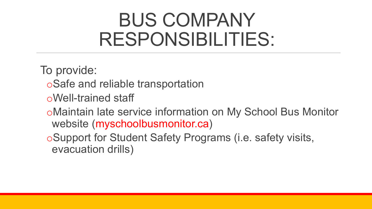#### BUS COMPANY RESPONSIBILITIES:

To provide:

- oSafe and reliable transportation
- oWell-trained staff
- oMaintain late service information on My School Bus Monitor website (myschoolbusmonitor.ca)
- oSupport for Student Safety Programs (i.e. safety visits, evacuation drills)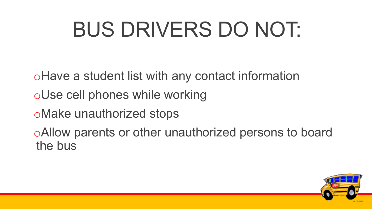### BUS DRIVERS DO NOT:

oHave a student list with any contact information

- oUse cell phones while working
- oMake unauthorized stops

oAllow parents or other unauthorized persons to board the bus

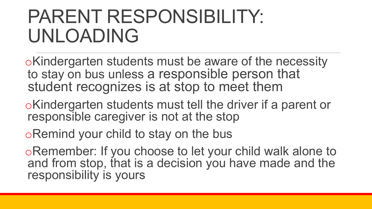#### PARENT RESPONSIBILITY: UNLOADING

oKindergarten students must be aware of the necessity to stay on bus unless a responsible person that student recognizes is at stop to meet them

oKindergarten students must tell the driver if a parent or responsible caregiver is not at the stop

oRemind your child to stay on the bus

oRemember: If you choose to let your child walk alone to and from stop, that is a decision you have made and the responsibility is yours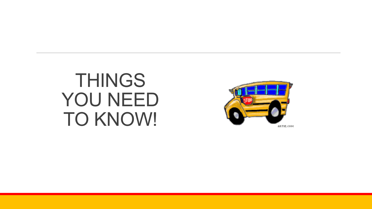#### THINGS YOU NEED TO KNOW!

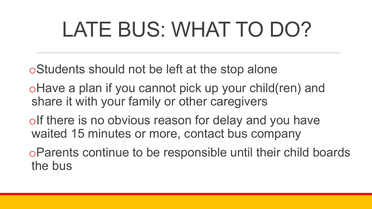### LATE BUS: WHAT TO DO?

- oStudents should not be left at the stop alone
- oHave a plan if you cannot pick up your child(ren) and share it with your family or other caregivers
- olf there is no obvious reason for delay and you have waited 15 minutes or more, contact bus company
- oParents continue to be responsible until their child boards the bus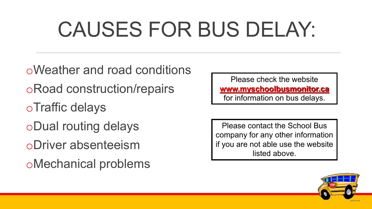### CAUSES FOR BUS DELAY:

oWeather and road conditions oRoad construction/repairs oTraffic delays oDual routing delays oDriver absenteeism oMechanical problems

Please check the website **www.myschoolbusmonitor.ca** for information on bus delays.

Please contact the School Bus company for any other information if you are not able use the website listed above.

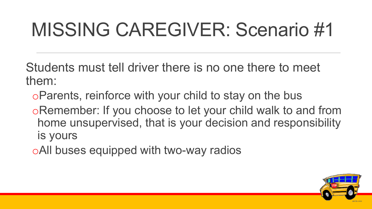### MISSING CAREGIVER: Scenario #1

Students must tell driver there is no one there to meet them:

- oParents, reinforce with your child to stay on the bus
- oRemember: If you choose to let your child walk to and from home unsupervised, that is your decision and responsibility is yours
- oAll buses equipped with two-way radios

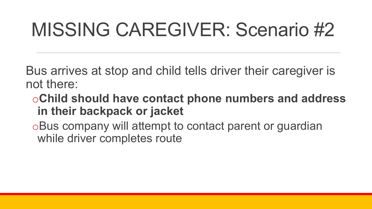### MISSING CAREGIVER: Scenario #2

Bus arrives at stop and child tells driver their caregiver is not there:

- o**Child should have contact phone numbers and address in their backpack or jacket**
- oBus company will attempt to contact parent or guardian while driver completes route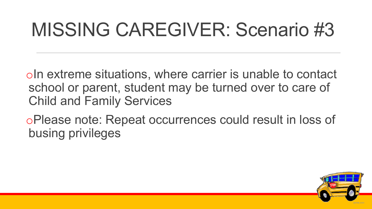#### MISSING CAREGIVER: Scenario #3

oIn extreme situations, where carrier is unable to contact school or parent, student may be turned over to care of Child and Family Services

oPlease note: Repeat occurrences could result in loss of busing privileges

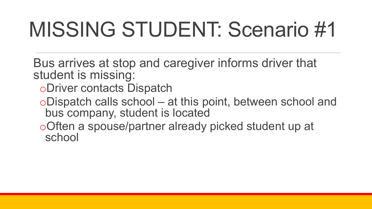### MISSING STUDENT: Scenario #1

- Bus arrives at stop and caregiver informs driver that student is missing:
	- oDriver contacts Dispatch
	- oDispatch calls school at this point, between school and bus company, student is located
	- oOften a spouse/partner already picked student up at school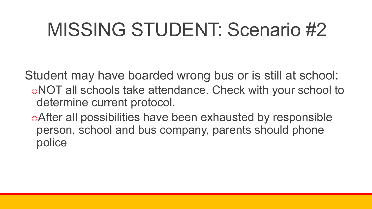### MISSING STUDENT: Scenario #2

Student may have boarded wrong bus or is still at school: oNOT all schools take attendance. Check with your school to determine current protocol.

oAfter all possibilities have been exhausted by responsible person, school and bus company, parents should phone police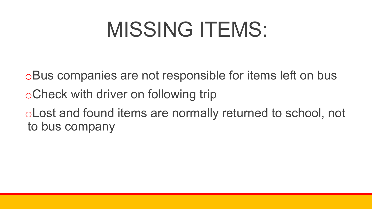### MISSING ITEMS:

oBus companies are not responsible for items left on bus oCheck with driver on following trip oLost and found items are normally returned to school, not to bus company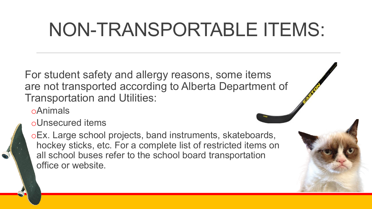#### NON-TRANSPORTABLE ITEMS:

For student safety and allergy reasons, some items are not transported according to Alberta Department of Transportation and Utilities:

oAnimals

oUnsecured items

oEx. Large school projects, band instruments, skateboards, hockey sticks, etc. For a complete list of restricted items on all school buses refer to the school board transportation office or website.